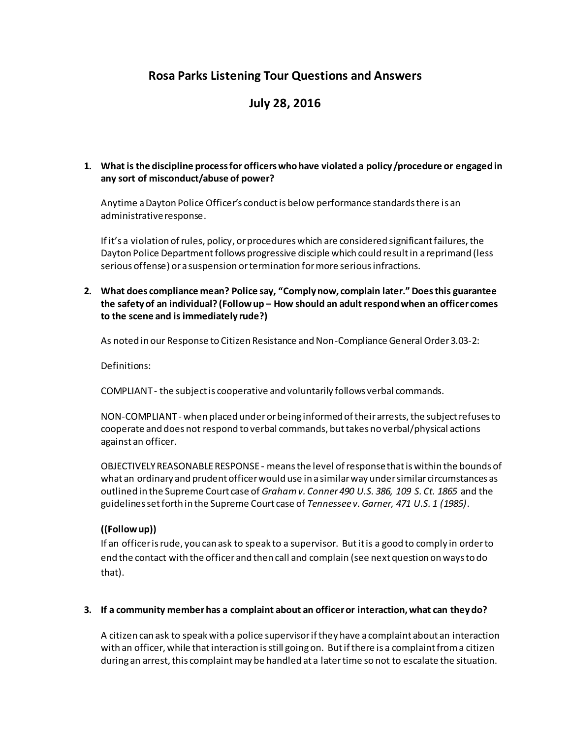# **Rosa Parks Listening Tour Questions and Answers**

# **July 28, 2016**

### **1. What is the discipline process for officers who have violated a policy /procedure or engaged in any sort of misconduct/abuse of power?**

Anytime a Dayton Police Officer's conduct is below performance standards there is an administrative response.

If it's a violation of rules, policy, or procedures which are considered significant failures, the Dayton Police Department follows progressive disciple which could result in a reprimand (less serious offense) ora suspension or termination for more serious infractions.

#### **2. What does compliance mean? Police say, "Comply now, complain later." Does this guarantee the safety of an individual? (Follow up – How should an adult respond when an officer comes to the scene and is immediately rude?)**

As noted in our Response to Citizen Resistance and Non-Compliance General Order 3.03-2:

Definitions:

COMPLIANT - the subject is cooperative and voluntarily follows verbal commands.

NON-COMPLIANT - when placed under or being informed of their arrests, the subject refuses to cooperate and does not respond to verbal commands, but takes no verbal/physical actions against an officer.

OBJECTIVELY REASONABLE RESPONSE - means the level of response that is within the bounds of what an ordinary and prudent officer would use in a similar way under similar circumstances as outlined in the Supreme Court case of *Graham v. Conner 490 U.S. 386, 109 S. Ct. 1865* and the guidelines set forth in the Supreme Court case of *Tennessee v. Garner, 471 U.S. 1 (1985)*.

### **((Follow up))**

If an officer is rude, you can ask to speak to a supervisor. But it is a good to comply in order to end the contact with the officer and then call and complain (see next question on ways to do that).

### **3. If a community member has a complaint about an officer or interaction, what can they do?**

A citizen can ask to speak with a police supervisor if they have a complaint about an interaction with an officer, while that interaction is still going on. But if there is a complaint from a citizen during an arrest, this complaint may be handled at a later time so not to escalate the situation.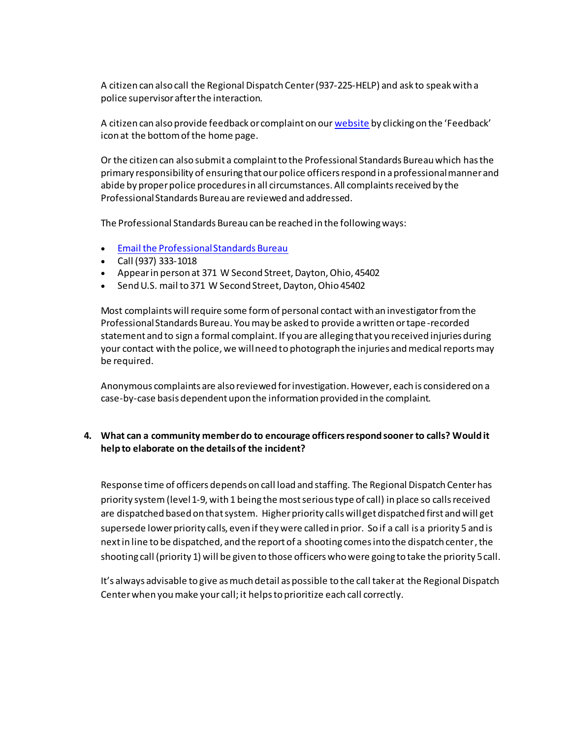A citizen can also call the Regional Dispatch Center (937-225-HELP) and ask to speak with a police supervisor after the interaction.

A citizen can also provide feedback or complaint on ou[r website](http://www.daytonohio.gov/FormCenter/Police-4/Feedback-Form-44) by clicking on the 'Feedback' icon at the bottom of the home page.

Or the citizen can also submit a complaint to the Professional Standards Bureau which has the primary responsibility of ensuring that our police officers respond in a professional manner and abide by proper police procedures in all circumstances. All complaints received by the Professional Standards Bureau are reviewed and addressed.

The Professional Standards Bureau can be reached in the following ways:

- [Email the Professional Standards Bureau](mailto:DPD_Prof_Stand_Bur_DG@daytonohio.gov)
- Call (937) 333-1018
- Appear in person at 371 W Second Street, Dayton, Ohio, 45402
- Send U.S. mail to 371 W Second Street, Dayton, Ohio 45402

Most complaints will require some form of personal contact with an investigator from the Professional Standards Bureau. You may be asked to provide a written or tape-recorded statement and to sign a formal complaint. If you are alleging that you received injuries during your contact with the police, we will need to photograph the injuries and medical reports may be required.

Anonymous complaints are also reviewed for investigation. However, each is considered on a case-by-case basis dependent upon the information provided in the complaint.

### **4. What can a community member do to encourage officers respond sooner to calls? Would it help to elaborate on the details of the incident?**

Response time of officers depends on call load and staffing. The Regional Dispatch Center has priority system(level 1-9, with 1 being the most serious type of call) in place so calls received are dispatched based on that system. Higher priority calls will get dispatched first and will get supersede lower priority calls, even if they were called in prior. So if a call is a priority 5 and is next in line to be dispatched, and the report of a shooting comes into the dispatch center, the shooting call (priority 1) will be given to those officers who were going to take the priority 5 call.

It's always advisable to give as much detail as possible to the call taker at the Regional Dispatch Centerwhen you make your call; it helps to prioritize each call correctly.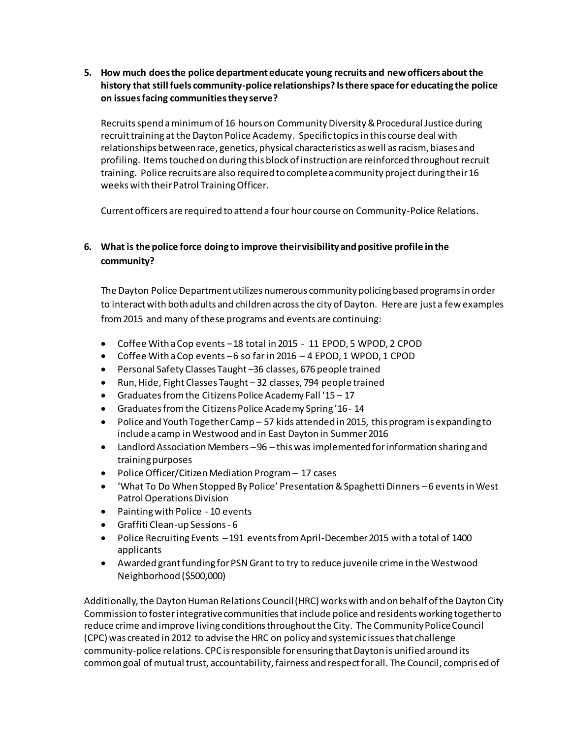**5. How much does the police department educate young recruits and new officers about the history that still fuels community-police relationships? Is there space for educating the police on issues facing communitiesthey serve?**

Recruits spend a minimum of 16 hours on Community Diversity & Procedural Justice during recruit training at the Dayton Police Academy. Specific topics in this course deal with relationships between race, genetics, physical characteristics as well as racism, biases and profiling. Itemstouched on during this block of instruction are reinforced throughout recruit training. Police recruits are also required to complete a community project during their 16 weeks with their Patrol Training Officer.

Current officers are required to attend a four hour course on Community-Police Relations.

## **6. What is the police force doing to improve their visibility and positive profile in the community?**

The Dayton Police Department utilizes numerous community policing based programs in order to interact with both adults and children across the city of Dayton. Here are just a few examples from 2015 and many of these programs and events are continuing:

- Coffee With a Cop events –18 total in 2015 11 EPOD, 5 WPOD, 2 CPOD
- Coffee With a Cop events –6 so far in 2016 4 EPOD, 1 WPOD, 1 CPOD
- Personal Safety Classes Taught –36 classes, 676 people trained
- Run, Hide, Fight Classes Taught 32 classes, 794 people trained
- Graduates from the Citizens Police Academy Fall '15 17
- Graduates from the Citizens Police Academy Spring '16 14
- Police and Youth Together Camp 57 kids attended in 2015, this program is expanding to include a camp in Westwood and in East Dayton in Summer 2016
- Landlord Association Members –96 this was implemented for information sharing and training purposes
- Police Officer/Citizen Mediation Program 17 cases
- 'What To Do When Stopped By Police' Presentation & Spaghetti Dinners –6 events in West Patrol Operations Division
- Painting with Police 10 events
- Graffiti Clean-up Sessions 6
- Police Recruiting Events –191 events from April-December 2015 with a total of 1400 applicants
- Awarded grant funding for PSN Grant to try to reduce juvenile crime in the Westwood Neighborhood (\$500,000)

Additionally, the Dayton Human Relations Council (HRC) works with and on behalf of the Dayton City Commission to foster integrative communities that include police and residents working together to reduce crime and improve living conditions throughout the City. The Community Police Council (CPC) was created in 2012 to advise the HRC on policy and systemic issues that challenge community-police relations. CPC is responsible for ensuring that Dayton is unified around its common goal of mutual trust, accountability, fairness and respect for all. The Council, comprised of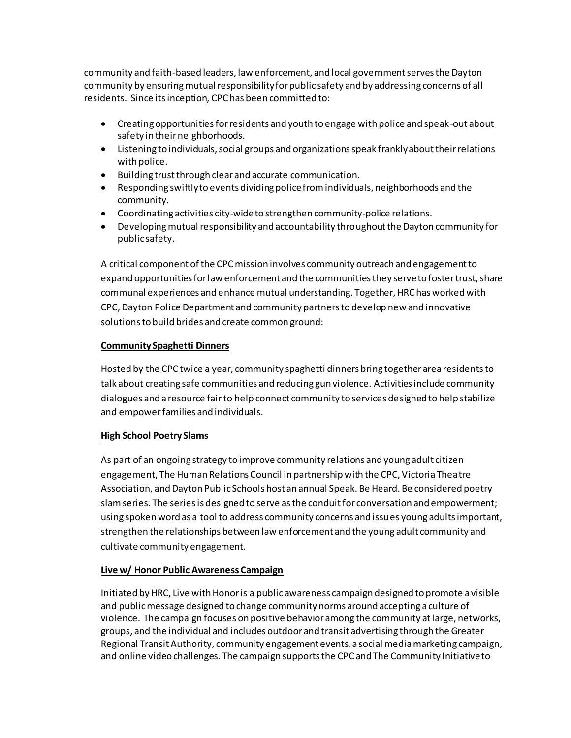community and faith-based leaders, law enforcement, and local government serves the Dayton community by ensuring mutual responsibility for public safety and by addressing concerns of all residents. Since its inception, CPC has been committed to:

- Creating opportunities for residents and youth to engage with police and speak-out about safety in their neighborhoods.
- Listening to individuals, social groups and organizations speak frankly about their relations with police.
- Building trust through clear and accurate communication.
- Responding swiftly to events dividing police from individuals, neighborhoods and the community.
- Coordinating activities city-wide to strengthen community-police relations.
- Developing mutual responsibility and accountability throughout the Dayton community for public safety.

A critical component of the CPC mission involves community outreach and engagement to expand opportunities for law enforcement and the communities they serve to foster trust, share communal experiences and enhance mutual understanding. Together, HRC has worked with CPC, Dayton Police Department and community partners to develop new and innovative solutions to build brides and create common ground:

### **Community Spaghetti Dinners**

Hosted by the CPC twice a year, community spaghetti dinners bring together area residents to talk about creating safe communities and reducing gun violence. Activities include community dialogues and a resource fairto help connect community to services designed to help stabilize and empower families and individuals.

### **High School Poetry Slams**

As part of an ongoing strategy to improve community relations and young adult citizen engagement, The Human Relations Council in partnership with the CPC, Victoria Theatre Association, and Dayton Public Schools host an annual Speak. Be Heard. Be considered poetry slam series. The series is designed to serve as the conduit for conversation and empowerment; using spoken word as a tool to address community concerns and issues young adults important, strengthen the relationships between law enforcement and the young adult community and cultivate community engagement.

### **Live w/ Honor Public Awareness Campaign**

Initiated by HRC, Live with Honor is a public awareness campaign designed to promote a visible and public message designed to change community norms around accepting a culture of violence. The campaign focuses on positive behavior among the community at large, networks, groups, and the individual and includes outdoor and transit advertising through the Greater Regional Transit Authority, community engagement events, a social media marketing campaign, and online video challenges. The campaign supports the CPC and The Community Initiative to